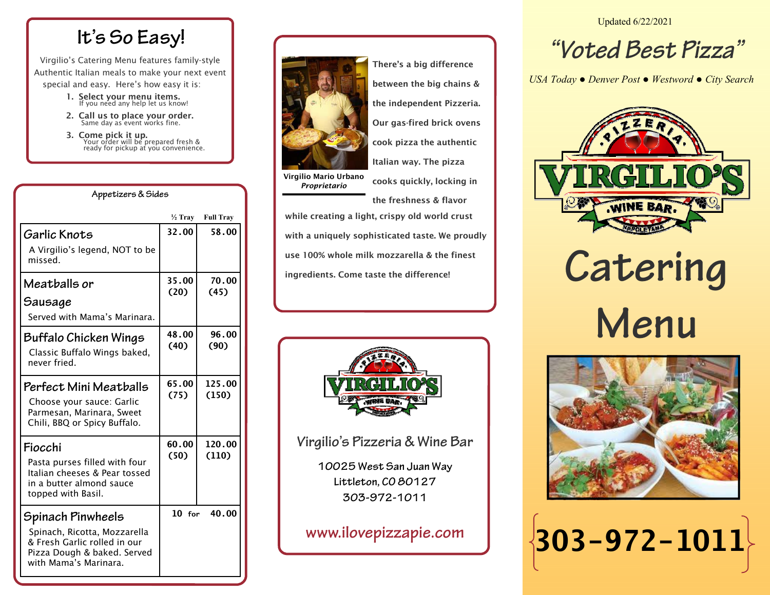## **It's So Easy!**

Virgilio's Catering Menu features family-style Authentic Italian meals to make your next event special and easy. Here's how easy it is:

- 1. Select your menu items.<br>If you need any help let us know!
- 2. Call us to place your order.<br>Same day as event works fine.

**Appetizers & Sides** 

**3. Come pick it up.**<br>Your order will be prepared fresh & ready for pickup at you convenience.

|                                                                                                                                           | ½ Tray        | <b>Full Tray</b> |
|-------------------------------------------------------------------------------------------------------------------------------------------|---------------|------------------|
| Garlic Knots<br>A Virgilio's legend, NOT to be<br>missed.                                                                                 | 32.00         | 58.00            |
| Meatballs or<br>Sausage<br>Served with Mama's Marinara.                                                                                   | 35.00<br>(20) | 70.00<br>(45)    |
| Buffalo Chicken Wings<br>Classic Buffalo Wings baked,<br>never fried.                                                                     | 48.00<br>(40) | 96.00<br>(90)    |
| Perfect Mini Meatballs<br>Choose your sauce: Garlic<br>Parmesan, Marinara, Sweet<br>Chili, BBQ or Spicy Buffalo.                          | 65.00<br>(75) | 125.00<br>(150)  |
| Fiocchi<br>Pasta purses filled with four<br>Italian cheeses & Pear tossed<br>in a butter almond sauce<br>topped with Basil.               | 60.00<br>(50) | 120.00<br>(110)  |
| Spinach Pinwheels<br>Spinach, Ricotta, Mozzarella<br>& Fresh Garlic rolled in our<br>Pizza Dough & baked. Served<br>with Mama's Marinara. | $10$ for      | 40.00            |



There's a big difference between the big chains & the independent Pizzeria.

Our gas-fired brick ovens

cook pizza the authentic

Italian way. The pizza

Virgilio Mario Urbano *Proprietario* 

cooks quickly, locking in the freshness & flavor

while creating a light, crispy old world crust with a uniquely sophisticated taste. We proudly use 100% whole milk mozzarella & the finest ingredients. Come taste the difference!



**Virgilio's Pizzeria & Wine Bar** 

**10025 West San Juan Way Littleton, CO 80127 303-972-1011** 

**www.ilovepizzapie.com** 

Updated 6/22/2021

## **"Voted Best Pizza"**

*USA Today ● Denver Post ● Westword ● City Search*



**Catering Menu** 



**303-972-1011**